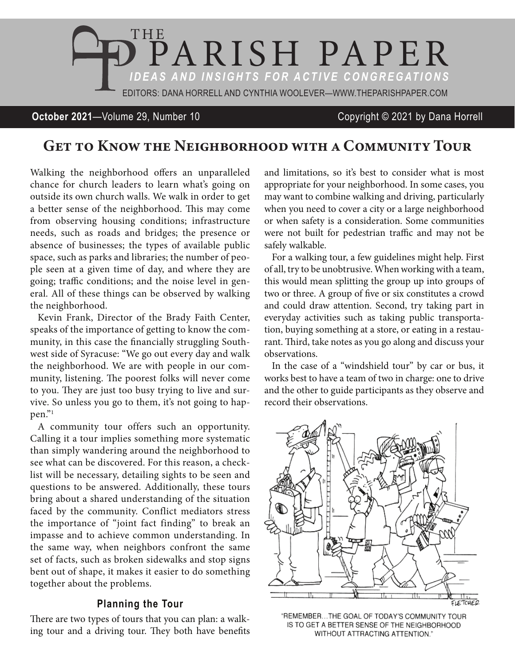

# **October 2021**—Volume 29, Number 10 Copyright © 2021 by Dana Horrell

# Get to Know the Neighborhood with a Community Tour

Walking the neighborhood offers an unparalleled chance for church leaders to learn what's going on outside its own church walls. We walk in order to get a better sense of the neighborhood. This may come from observing housing conditions; infrastructure needs, such as roads and bridges; the presence or absence of businesses; the types of available public space, such as parks and libraries; the number of people seen at a given time of day, and where they are going; traffic conditions; and the noise level in general. All of these things can be observed by walking the neighborhood.

Kevin Frank, Director of the Brady Faith Center, speaks of the importance of getting to know the community, in this case the financially struggling Southwest side of Syracuse: "We go out every day and walk the neighborhood. We are with people in our community, listening. The poorest folks will never come to you. They are just too busy trying to live and survive. So unless you go to them, it's not going to happen."1

A community tour offers such an opportunity. Calling it a tour implies something more systematic than simply wandering around the neighborhood to see what can be discovered. For this reason, a checklist will be necessary, detailing sights to be seen and questions to be answered. Additionally, these tours bring about a shared understanding of the situation faced by the community. Conflict mediators stress the importance of "joint fact finding" to break an impasse and to achieve common understanding. In the same way, when neighbors confront the same set of facts, such as broken sidewalks and stop signs bent out of shape, it makes it easier to do something together about the problems.

### **Planning the Tour**

There are two types of tours that you can plan: a walking tour and a driving tour. They both have benefits and limitations, so it's best to consider what is most appropriate for your neighborhood. In some cases, you may want to combine walking and driving, particularly when you need to cover a city or a large neighborhood or when safety is a consideration. Some communities were not built for pedestrian traffic and may not be safely walkable.

For a walking tour, a few guidelines might help. First of all, try to be unobtrusive. When working with a team, this would mean splitting the group up into groups of two or three. A group of five or six constitutes a crowd and could draw attention. Second, try taking part in everyday activities such as taking public transportation, buying something at a store, or eating in a restaurant. Third, take notes as you go along and discuss your observations.

In the case of a "windshield tour" by car or bus, it works best to have a team of two in charge: one to drive and the other to guide participants as they observe and record their observations.



"REMEMBER...THE GOAL OF TODAY'S COMMUNITY TOUR IS TO GET A BETTER SENSE OF THE NEIGHBORHOOD WITHOUT ATTRACTING ATTENTION."